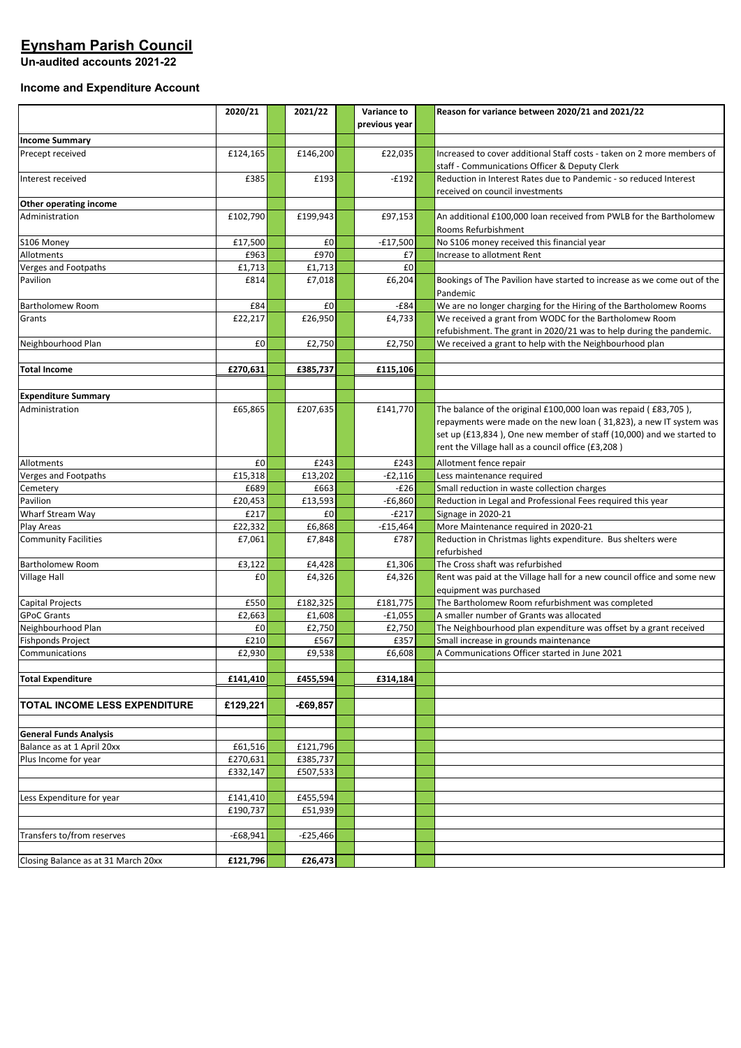# **Eynsham Parish Council**

**Un-audited accounts 2021-22**

### **Income and Expenditure Account**

|                                     | 2020/21    | 2021/22    | Variance to<br>previous year | Reason for variance between 2020/21 and 2021/22                                                    |
|-------------------------------------|------------|------------|------------------------------|----------------------------------------------------------------------------------------------------|
| <b>Income Summary</b>               |            |            |                              |                                                                                                    |
| Precept received                    | £124,165   | £146,200   | £22,035                      | Increased to cover additional Staff costs - taken on 2 more members of                             |
|                                     |            |            |                              | staff - Communications Officer & Deputy Clerk                                                      |
| Interest received                   | £385       | £193       | $-E192$                      | Reduction in Interest Rates due to Pandemic - so reduced Interest                                  |
|                                     |            |            |                              | received on council investments                                                                    |
| Other operating income              |            |            |                              |                                                                                                    |
| Administration                      | £102,790   | £199,943   | £97,153                      | An additional £100,000 loan received from PWLB for the Bartholomew                                 |
|                                     |            |            |                              | Rooms Refurbishment                                                                                |
| S106 Money                          | £17,500    | £0         | $-£17,500$                   | No S106 money received this financial year                                                         |
| Allotments                          | £963       | £970       | £7                           | Increase to allotment Rent                                                                         |
| Verges and Footpaths                | £1,713     | £1,713     | £0                           |                                                                                                    |
| Pavilion                            | £814       | £7,018     | £6,204                       | Bookings of The Pavilion have started to increase as we come out of the<br>Pandemic                |
| Bartholomew Room                    | £84        | £0         | $-E84$                       | We are no longer charging for the Hiring of the Bartholomew Rooms                                  |
| Grants                              | £22,217    | £26,950    | £4,733                       | We received a grant from WODC for the Bartholomew Room                                             |
|                                     |            |            |                              | refubishment. The grant in 2020/21 was to help during the pandemic.                                |
| Neighbourhood Plan                  | £0         | £2,750     | £2,750                       | We received a grant to help with the Neighbourhood plan                                            |
|                                     |            |            |                              |                                                                                                    |
| <b>Total Income</b>                 | £270,631   | £385,737   | £115,106                     |                                                                                                    |
|                                     |            |            |                              |                                                                                                    |
| <b>Expenditure Summary</b>          |            |            |                              |                                                                                                    |
| Administration                      | £65,865    | £207,635   | £141,770                     | The balance of the original £100,000 loan was repaid (£83,705),                                    |
|                                     |            |            |                              | repayments were made on the new loan (31,823), a new IT system was                                 |
|                                     |            |            |                              | set up (£13,834), One new member of staff (10,000) and we started to                               |
|                                     |            |            |                              | rent the Village hall as a council office (£3,208)                                                 |
| Allotments                          | £0         | £243       | £243                         | Allotment fence repair                                                                             |
| Verges and Footpaths                | £15,318    | £13,202    | -£2,116                      | Less maintenance required                                                                          |
| Cemetery                            | £689       | £663       | $-E26$                       | Small reduction in waste collection charges                                                        |
| Pavilion                            | £20,453    | £13,593    | $-£6,860$                    | Reduction in Legal and Professional Fees required this year                                        |
| Wharf Stream Way                    | £217       | £0         | $-E217$                      | Signage in 2020-21                                                                                 |
| Play Areas                          | £22,332    | £6,868     | $-£15,464$                   | More Maintenance required in 2020-21                                                               |
| <b>Community Facilities</b>         | £7,061     | £7,848     | £787                         | Reduction in Christmas lights expenditure. Bus shelters were<br>refurbished                        |
| Bartholomew Room                    | £3,122     | £4,428     | £1,306                       | The Cross shaft was refurbished                                                                    |
| Village Hall                        | £0         | £4,326     | £4,326                       | Rent was paid at the Village hall for a new council office and some new<br>equipment was purchased |
| Capital Projects                    | £550       | £182,325   | £181,775                     | The Bartholomew Room refurbishment was completed                                                   |
| <b>GPoC Grants</b>                  | £2,663     | £1,608     | $-£1,055$                    | A smaller number of Grants was allocated                                                           |
| Neighbourhood Plan                  | £0         | £2,750     | £2,750                       | The Neighbourhood plan expenditure was offset by a grant received                                  |
| <b>Fishponds Project</b>            | £210       | £567       | £357                         | Small increase in grounds maintenance                                                              |
| Communications                      | £2,930     | £9,538     | £6,608                       | A Communications Officer started in June 2021                                                      |
| <b>Total Expenditure</b>            | £141,410   | £455,594   | £314,184                     |                                                                                                    |
|                                     |            |            |                              |                                                                                                    |
| TOTAL INCOME LESS EXPENDITURE       | £129,221   | $-£69,857$ |                              |                                                                                                    |
|                                     |            |            |                              |                                                                                                    |
| <b>General Funds Analysis</b>       |            |            |                              |                                                                                                    |
| Balance as at 1 April 20xx          | £61,516    | £121,796   |                              |                                                                                                    |
| Plus Income for year                | £270,631   | £385,737   |                              |                                                                                                    |
|                                     | £332,147   | £507,533   |                              |                                                                                                    |
|                                     |            |            |                              |                                                                                                    |
| Less Expenditure for year           | £141,410   | £455,594   |                              |                                                                                                    |
|                                     | £190,737   | £51,939    |                              |                                                                                                    |
|                                     |            |            |                              |                                                                                                    |
| Transfers to/from reserves          | $-£68,941$ | $-E25,466$ |                              |                                                                                                    |
|                                     |            |            |                              |                                                                                                    |
| Closing Balance as at 31 March 20xx | £121,796   | £26,473    |                              |                                                                                                    |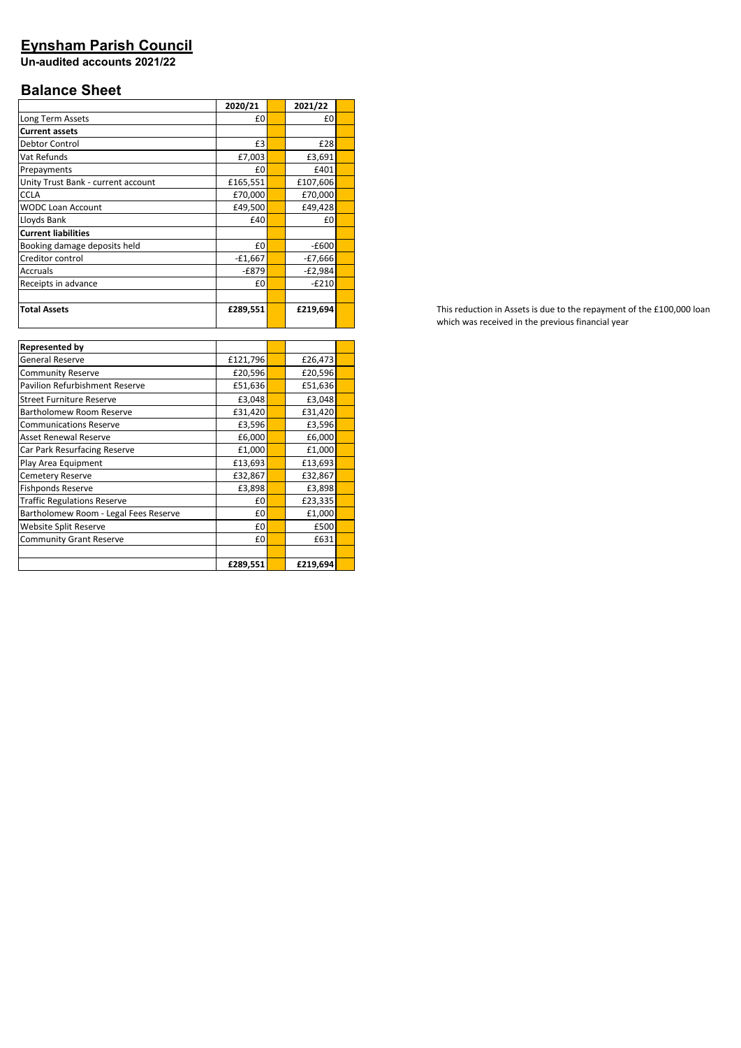## **Eynsham Parish Council**

**Un-audited accounts 2021/22**

# **Balance Sheet**

| £0        |         | £0        |         |
|-----------|---------|-----------|---------|
|           |         |           |         |
| £3        |         | £28       |         |
| £7,003    |         | £3,691    |         |
| £0        |         | £401      |         |
| £165,551  |         | £107,606  |         |
| £70,000   |         | £70,000   |         |
| £49,500   |         | £49,428   |         |
| £40       |         | £0        |         |
|           |         |           |         |
| £0        |         | $-E600$   |         |
| $-£1,667$ |         | -£7,666   |         |
| $-E879$   |         | $-E2,984$ |         |
| £0        |         | $-E210$   |         |
|           |         |           |         |
| £289,551  |         | £219,694  |         |
|           | 2020/21 |           | 2021/22 |

| <b>Represented by</b>                 |          |          |  |
|---------------------------------------|----------|----------|--|
| <b>General Reserve</b>                | £121,796 | £26,473  |  |
| <b>Community Reserve</b>              | £20,596  | £20,596  |  |
| <b>Pavilion Refurbishment Reserve</b> | £51,636  | £51,636  |  |
| <b>Street Furniture Reserve</b>       | £3,048   | £3,048   |  |
| Bartholomew Room Reserve              | £31,420  | £31,420  |  |
| <b>Communications Reserve</b>         | £3,596   | £3,596   |  |
| <b>Asset Renewal Reserve</b>          | £6,000   | £6,000   |  |
| Car Park Resurfacing Reserve          | £1,000   | £1,000   |  |
| Play Area Equipment                   | £13,693  | £13,693  |  |
| <b>Cemetery Reserve</b>               | £32,867  | £32,867  |  |
| <b>Fishponds Reserve</b>              | £3,898   | £3,898   |  |
| <b>Traffic Regulations Reserve</b>    | £0       | £23,335  |  |
| Bartholomew Room - Legal Fees Reserve | £0       | £1,000   |  |
| Website Split Reserve                 | £0       | £500     |  |
| <b>Community Grant Reserve</b>        | £0       | £631     |  |
|                                       |          |          |  |
|                                       | £289,551 | £219,694 |  |

This reduction in Assets is due to the repayment of the £100,000 loan which was received in the previous financial year